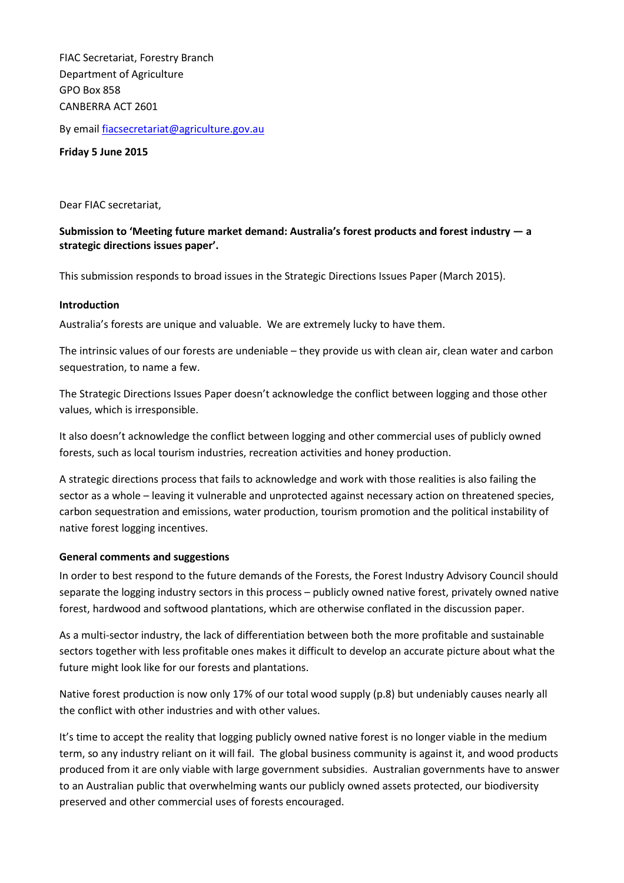FIAC Secretariat, Forestry Branch Department of Agriculture GPO Box 858 CANBERRA ACT 2601

By email [fiacsecretariat@agriculture.gov.au](mailto:fiacsecretariat@agriculture.gov.au)

**Friday 5 June 2015**

Dear FIAC secretariat,

**Submission to 'Meeting future market demand: Australia's forest products and forest industry — a strategic directions issues paper'.**

This submission responds to broad issues in the Strategic Directions Issues Paper (March 2015).

#### **Introduction**

Australia's forests are unique and valuable. We are extremely lucky to have them.

The intrinsic values of our forests are undeniable – they provide us with clean air, clean water and carbon sequestration, to name a few.

The Strategic Directions Issues Paper doesn't acknowledge the conflict between logging and those other values, which is irresponsible.

It also doesn't acknowledge the conflict between logging and other commercial uses of publicly owned forests, such as local tourism industries, recreation activities and honey production.

A strategic directions process that fails to acknowledge and work with those realities is also failing the sector as a whole – leaving it vulnerable and unprotected against necessary action on threatened species, carbon sequestration and emissions, water production, tourism promotion and the political instability of native forest logging incentives.

#### **General comments and suggestions**

In order to best respond to the future demands of the Forests, the Forest Industry Advisory Council should separate the logging industry sectors in this process – publicly owned native forest, privately owned native forest, hardwood and softwood plantations, which are otherwise conflated in the discussion paper.

As a multi-sector industry, the lack of differentiation between both the more profitable and sustainable sectors together with less profitable ones makes it difficult to develop an accurate picture about what the future might look like for our forests and plantations.

Native forest production is now only 17% of our total wood supply (p.8) but undeniably causes nearly all the conflict with other industries and with other values.

It's time to accept the reality that logging publicly owned native forest is no longer viable in the medium term, so any industry reliant on it will fail. The global business community is against it, and wood products produced from it are only viable with large government subsidies. Australian governments have to answer to an Australian public that overwhelming wants our publicly owned assets protected, our biodiversity preserved and other commercial uses of forests encouraged.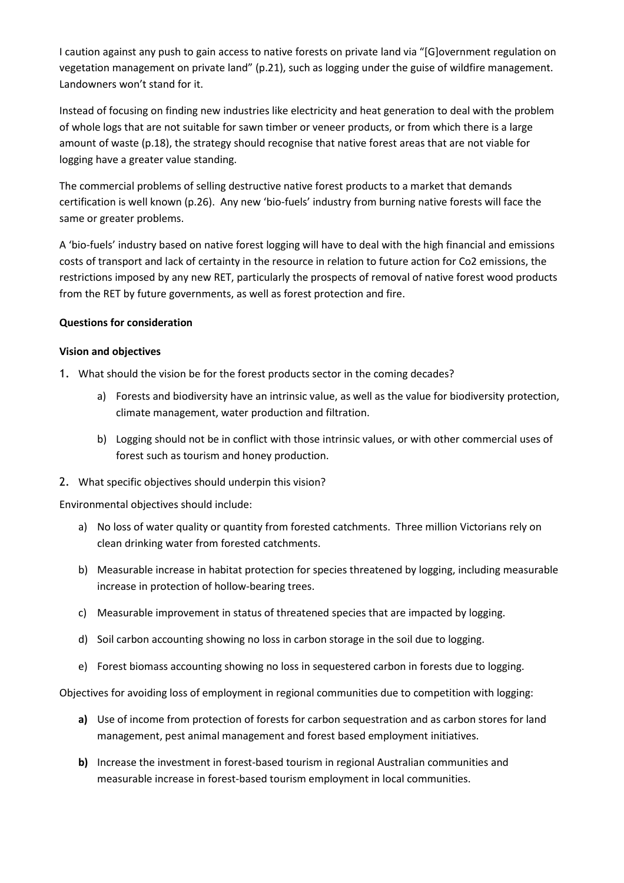I caution against any push to gain access to native forests on private land via "[G]overnment regulation on vegetation management on private land" (p.21), such as logging under the guise of wildfire management. Landowners won't stand for it.

Instead of focusing on finding new industries like electricity and heat generation to deal with the problem of whole logs that are not suitable for sawn timber or veneer products, or from which there is a large amount of waste (p.18), the strategy should recognise that native forest areas that are not viable for logging have a greater value standing.

The commercial problems of selling destructive native forest products to a market that demands certification is well known (p.26). Any new 'bio-fuels' industry from burning native forests will face the same or greater problems.

A 'bio-fuels' industry based on native forest logging will have to deal with the high financial and emissions costs of transport and lack of certainty in the resource in relation to future action for Co2 emissions, the restrictions imposed by any new RET, particularly the prospects of removal of native forest wood products from the RET by future governments, as well as forest protection and fire.

## **Questions for consideration**

## **Vision and objectives**

- 1. What should the vision be for the forest products sector in the coming decades?
	- a) Forests and biodiversity have an intrinsic value, as well as the value for biodiversity protection, climate management, water production and filtration.
	- b) Logging should not be in conflict with those intrinsic values, or with other commercial uses of forest such as tourism and honey production.
- 2. What specific objectives should underpin this vision?

Environmental objectives should include:

- a) No loss of water quality or quantity from forested catchments. Three million Victorians rely on clean drinking water from forested catchments.
- b) Measurable increase in habitat protection for species threatened by logging, including measurable increase in protection of hollow-bearing trees.
- c) Measurable improvement in status of threatened species that are impacted by logging.
- d) Soil carbon accounting showing no loss in carbon storage in the soil due to logging.
- e) Forest biomass accounting showing no loss in sequestered carbon in forests due to logging.

Objectives for avoiding loss of employment in regional communities due to competition with logging:

- **a)** Use of income from protection of forests for carbon sequestration and as carbon stores for land management, pest animal management and forest based employment initiatives.
- **b)** Increase the investment in forest-based tourism in regional Australian communities and measurable increase in forest-based tourism employment in local communities.